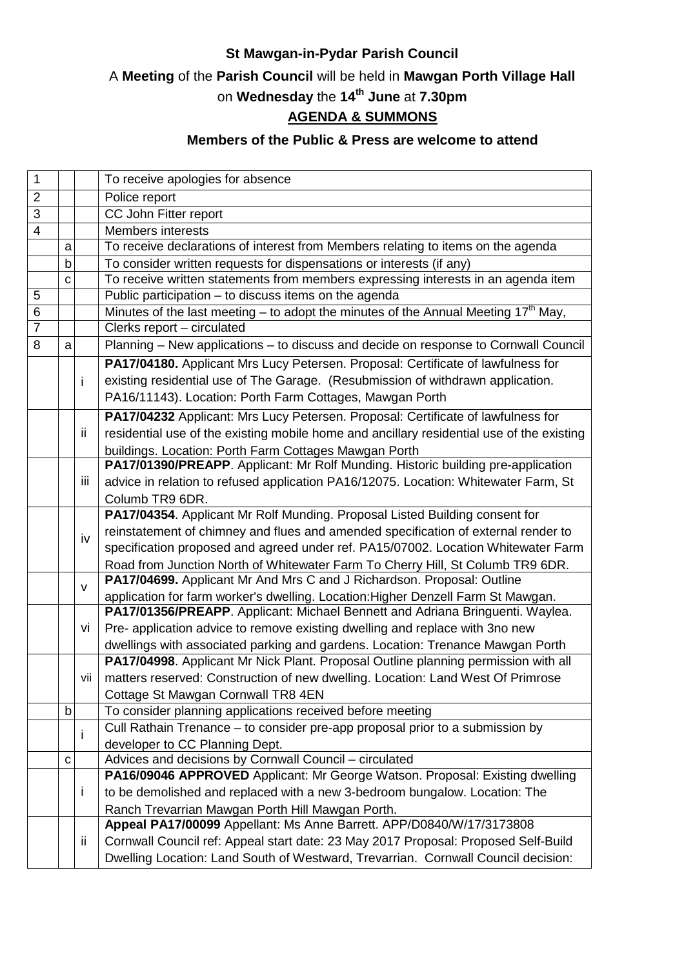### **St Mawgan-in-Pydar Parish Council**

## A **Meeting** of the **Parish Council** will be held in **Mawgan Porth Village Hall**

# on **Wednesday** the **14th June** at **7.30pm**

### **AGENDA & SUMMONS**

#### **Members of the Public & Press are welcome to attend**

| $\mathbf 1$    |             |            | To receive apologies for absence                                                               |
|----------------|-------------|------------|------------------------------------------------------------------------------------------------|
| $\overline{2}$ |             |            | Police report                                                                                  |
| 3              |             |            | CC John Fitter report                                                                          |
| $\overline{4}$ |             |            | <b>Members interests</b>                                                                       |
|                | a           |            | To receive declarations of interest from Members relating to items on the agenda               |
|                | $\mathsf b$ |            | To consider written requests for dispensations or interests (if any)                           |
|                | C           |            | To receive written statements from members expressing interests in an agenda item              |
| 5              |             |            | Public participation - to discuss items on the agenda                                          |
| 6              |             |            | Minutes of the last meeting – to adopt the minutes of the Annual Meeting 17 <sup>th</sup> May, |
| $\overline{7}$ |             |            | Clerks report - circulated                                                                     |
| 8              | a           |            | Planning - New applications - to discuss and decide on response to Cornwall Council            |
|                |             |            | PA17/04180. Applicant Mrs Lucy Petersen. Proposal: Certificate of lawfulness for               |
|                |             | i          | existing residential use of The Garage. (Resubmission of withdrawn application.                |
|                |             |            | PA16/11143). Location: Porth Farm Cottages, Mawgan Porth                                       |
|                |             |            | PA17/04232 Applicant: Mrs Lucy Petersen. Proposal: Certificate of lawfulness for               |
|                |             | ii         | residential use of the existing mobile home and ancillary residential use of the existing      |
|                |             |            | buildings. Location: Porth Farm Cottages Mawgan Porth                                          |
|                |             |            | PA17/01390/PREAPP. Applicant: Mr Rolf Munding. Historic building pre-application               |
|                |             | <b>iii</b> | advice in relation to refused application PA16/12075. Location: Whitewater Farm, St            |
|                |             |            | Columb TR9 6DR.                                                                                |
|                |             | iv         | PA17/04354. Applicant Mr Rolf Munding. Proposal Listed Building consent for                    |
|                |             |            | reinstatement of chimney and flues and amended specification of external render to             |
|                |             |            | specification proposed and agreed under ref. PA15/07002. Location Whitewater Farm              |
|                |             |            | Road from Junction North of Whitewater Farm To Cherry Hill, St Columb TR9 6DR.                 |
|                |             | v          | PA17/04699. Applicant Mr And Mrs C and J Richardson. Proposal: Outline                         |
|                |             |            | application for farm worker's dwelling. Location: Higher Denzell Farm St Mawgan.               |
|                |             |            | PA17/01356/PREAPP. Applicant: Michael Bennett and Adriana Bringuenti. Waylea.                  |
|                |             | vi         | Pre- application advice to remove existing dwelling and replace with 3no new                   |
|                |             |            | dwellings with associated parking and gardens. Location: Trenance Mawgan Porth                 |
|                |             |            | PA17/04998. Applicant Mr Nick Plant. Proposal Outline planning permission with all             |
|                |             | vii        | matters reserved: Construction of new dwelling. Location: Land West Of Primrose                |
|                |             |            | Cottage St Mawgan Cornwall TR8 4EN                                                             |
|                | b           |            | To consider planning applications received before meeting                                      |
|                |             | i          | Cull Rathain Trenance - to consider pre-app proposal prior to a submission by                  |
|                |             |            | developer to CC Planning Dept.                                                                 |
|                | C           |            | Advices and decisions by Cornwall Council - circulated                                         |
|                |             |            | PA16/09046 APPROVED Applicant: Mr George Watson. Proposal: Existing dwelling                   |
|                |             | Ť          | to be demolished and replaced with a new 3-bedroom bungalow. Location: The                     |
|                |             |            | Ranch Trevarrian Mawgan Porth Hill Mawgan Porth.                                               |
|                |             |            | Appeal PA17/00099 Appellant: Ms Anne Barrett. APP/D0840/W/17/3173808                           |
|                |             | ÎÎ.        | Cornwall Council ref: Appeal start date: 23 May 2017 Proposal: Proposed Self-Build             |
|                |             |            | Dwelling Location: Land South of Westward, Trevarrian. Cornwall Council decision:              |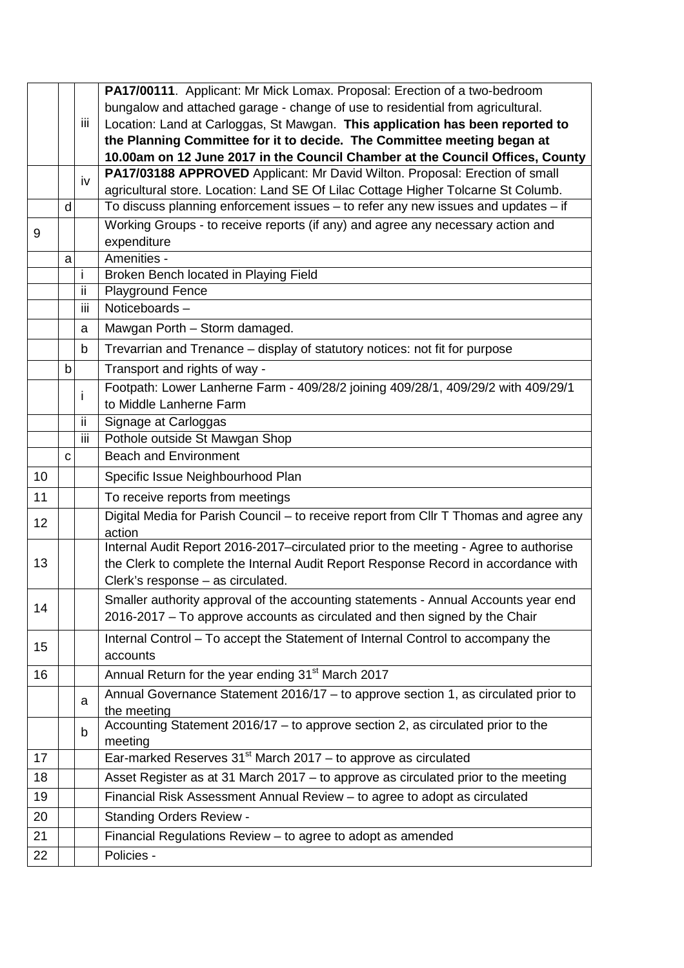|    |   |     | PA17/00111. Applicant: Mr Mick Lomax. Proposal: Erection of a two-bedroom             |
|----|---|-----|---------------------------------------------------------------------------------------|
|    |   |     | bungalow and attached garage - change of use to residential from agricultural.        |
|    |   | Ш   | Location: Land at Carloggas, St Mawgan. This application has been reported to         |
|    |   |     | the Planning Committee for it to decide. The Committee meeting began at               |
|    |   |     | 10.00am on 12 June 2017 in the Council Chamber at the Council Offices, County         |
|    |   | iv  | PA17/03188 APPROVED Applicant: Mr David Wilton. Proposal: Erection of small           |
|    |   |     | agricultural store. Location: Land SE Of Lilac Cottage Higher Tolcarne St Columb.     |
|    | d |     | To discuss planning enforcement issues - to refer any new issues and updates - if     |
| 9  |   |     | Working Groups - to receive reports (if any) and agree any necessary action and       |
|    |   |     | expenditure                                                                           |
|    | a |     | Amenities -                                                                           |
|    |   | i   | Broken Bench located in Playing Field                                                 |
|    |   | ii. | <b>Playground Fence</b>                                                               |
|    |   | iii | Noticeboards-                                                                         |
|    |   | a   | Mawgan Porth - Storm damaged.                                                         |
|    |   | b   | Trevarrian and Trenance - display of statutory notices: not fit for purpose           |
|    | b |     | Transport and rights of way -                                                         |
|    |   |     | Footpath: Lower Lanherne Farm - 409/28/2 joining 409/28/1, 409/29/2 with 409/29/1     |
|    |   | i   | to Middle Lanherne Farm                                                               |
|    |   | ij. | Signage at Carloggas                                                                  |
|    |   | iii | Pothole outside St Mawgan Shop                                                        |
|    | C |     | <b>Beach and Environment</b>                                                          |
| 10 |   |     | Specific Issue Neighbourhood Plan                                                     |
| 11 |   |     | To receive reports from meetings                                                      |
| 12 |   |     | Digital Media for Parish Council - to receive report from Cllr T Thomas and agree any |
|    |   |     | action                                                                                |
|    |   |     | Internal Audit Report 2016-2017-circulated prior to the meeting - Agree to authorise  |
| 13 |   |     | the Clerk to complete the Internal Audit Report Response Record in accordance with    |
|    |   |     | Clerk's response - as circulated.                                                     |
| 14 |   |     | Smaller authority approval of the accounting statements - Annual Accounts year end    |
|    |   |     | 2016-2017 - To approve accounts as circulated and then signed by the Chair            |
|    |   |     | Internal Control - To accept the Statement of Internal Control to accompany the       |
| 15 |   |     | accounts                                                                              |
| 16 |   |     | Annual Return for the year ending 31 <sup>st</sup> March 2017                         |
|    |   | a   | Annual Governance Statement 2016/17 - to approve section 1, as circulated prior to    |
|    |   |     | the meeting                                                                           |
|    |   | b   | Accounting Statement 2016/17 - to approve section 2, as circulated prior to the       |
|    |   |     | meeting                                                                               |
| 17 |   |     | Ear-marked Reserves $31st$ March 2017 – to approve as circulated                      |
| 18 |   |     | Asset Register as at 31 March 2017 - to approve as circulated prior to the meeting    |
| 19 |   |     | Financial Risk Assessment Annual Review - to agree to adopt as circulated             |
| 20 |   |     | <b>Standing Orders Review -</b>                                                       |
| 21 |   |     | Financial Regulations Review - to agree to adopt as amended                           |
| 22 |   |     | Policies -                                                                            |